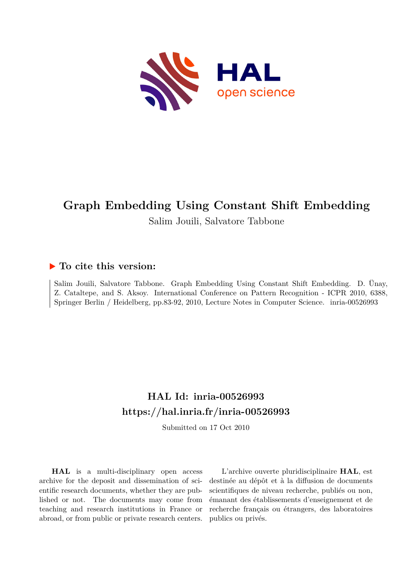

# **Graph Embedding Using Constant Shift Embedding** Salim Jouili, Salvatore Tabbone

# **To cite this version:**

Salim Jouili, Salvatore Tabbone. Graph Embedding Using Constant Shift Embedding. D. Ünay, Z. Cataltepe, and S. Aksoy. International Conference on Pattern Recognition - ICPR 2010, 6388, Springer Berlin / Heidelberg, pp.83-92, 2010, Lecture Notes in Computer Science. inria-00526993

# **HAL Id: inria-00526993 <https://hal.inria.fr/inria-00526993>**

Submitted on 17 Oct 2010

**HAL** is a multi-disciplinary open access archive for the deposit and dissemination of scientific research documents, whether they are published or not. The documents may come from teaching and research institutions in France or abroad, or from public or private research centers.

L'archive ouverte pluridisciplinaire **HAL**, est destinée au dépôt et à la diffusion de documents scientifiques de niveau recherche, publiés ou non, émanant des établissements d'enseignement et de recherche français ou étrangers, des laboratoires publics ou privés.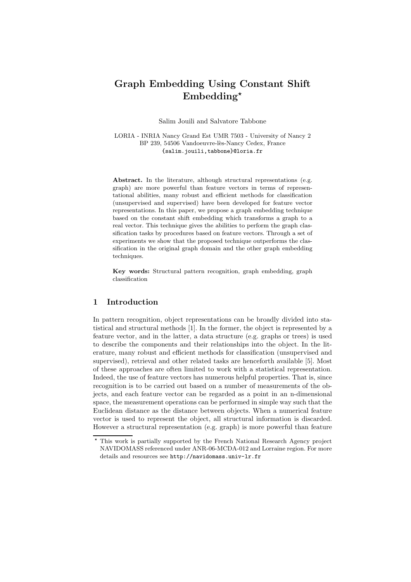# Graph Embedding Using Constant Shift  $Embedding^{\star}$

Salim Jouili and Salvatore Tabbone

LORIA - INRIA Nancy Grand Est UMR 7503 - University of Nancy 2 BP 239, 54506 Vandoeuvre-lès-Nancy Cedex, France {salim.jouili,tabbone}@loria.fr

Abstract. In the literature, although structural representations (e.g. graph) are more powerful than feature vectors in terms of representational abilities, many robust and efficient methods for classification (unsupervised and supervised) have been developed for feature vector representations. In this paper, we propose a graph embedding technique based on the constant shift embedding which transforms a graph to a real vector. This technique gives the abilities to perform the graph classification tasks by procedures based on feature vectors. Through a set of experiments we show that the proposed technique outperforms the classification in the original graph domain and the other graph embedding techniques.

Key words: Structural pattern recognition, graph embedding, graph classification

# 1 Introduction

In pattern recognition, object representations can be broadly divided into statistical and structural methods [1]. In the former, the object is represented by a feature vector, and in the latter, a data structure (e.g. graphs or trees) is used to describe the components and their relationships into the object. In the literature, many robust and efficient methods for classification (unsupervised and supervised), retrieval and other related tasks are henceforth available [5]. Most of these approaches are often limited to work with a statistical representation. Indeed, the use of feature vectors has numerous helpful properties. That is, since recognition is to be carried out based on a number of measurements of the objects, and each feature vector can be regarded as a point in an n-dimensional space, the measurement operations can be performed in simple way such that the Euclidean distance as the distance between objects. When a numerical feature vector is used to represent the object, all structural information is discarded. However a structural representation (e.g. graph) is more powerful than feature

<sup>⋆</sup> This work is partially supported by the French National Research Agency project NAVIDOMASS referenced under ANR-06-MCDA-012 and Lorraine region. For more details and resources see http://navidomass.univ-lr.fr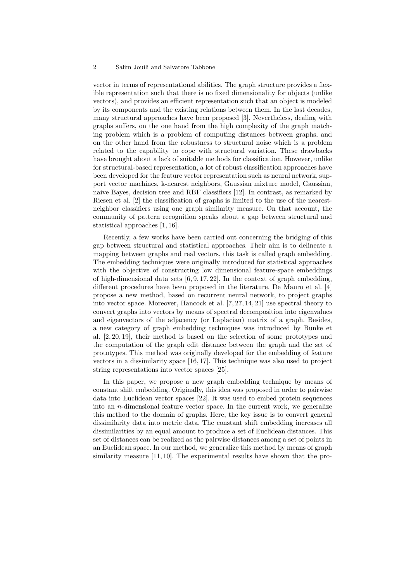vector in terms of representational abilities. The graph structure provides a flexible representation such that there is no fixed dimensionality for objects (unlike vectors), and provides an efficient representation such that an object is modeled by its components and the existing relations between them. In the last decades, many structural approaches have been proposed [3]. Nevertheless, dealing with graphs suffers, on the one hand from the high complexity of the graph matching problem which is a problem of computing distances between graphs, and on the other hand from the robustness to structural noise which is a problem related to the capability to cope with structural variation. These drawbacks have brought about a lack of suitable methods for classification. However, unlike for structural-based representation, a lot of robust classification approaches have been developed for the feature vector representation such as neural network, support vector machines, k-nearest neighbors, Gaussian mixture model, Gaussian, naive Bayes, decision tree and RBF classifiers [12]. In contrast, as remarked by Riesen et al. [2] the classification of graphs is limited to the use of the nearestneighbor classifiers using one graph similarity measure. On that account, the community of pattern recognition speaks about a gap between structural and statistical approaches [1, 16].

Recently, a few works have been carried out concerning the bridging of this gap between structural and statistical approaches. Their aim is to delineate a mapping between graphs and real vectors, this task is called graph embedding. The embedding techniques were originally introduced for statistical approaches with the objective of constructing low dimensional feature-space embeddings of high-dimensional data sets  $[6, 9, 17, 22]$ . In the context of graph embedding, different procedures have been proposed in the literature. De Mauro et al. [4] propose a new method, based on recurrent neural network, to project graphs into vector space. Moreover, Hancock et al. [7, 27, 14, 21] use spectral theory to convert graphs into vectors by means of spectral decomposition into eigenvalues and eigenvectors of the adjacency (or Laplacian) matrix of a graph. Besides, a new category of graph embedding techniques was introduced by Bunke et al. [2, 20, 19], their method is based on the selection of some prototypes and the computation of the graph edit distance between the graph and the set of prototypes. This method was originally developed for the embedding of feature vectors in a dissimilarity space [16, 17]. This technique was also used to project string representations into vector spaces [25].

In this paper, we propose a new graph embedding technique by means of constant shift embedding. Originally, this idea was proposed in order to pairwise data into Euclidean vector spaces [22]. It was used to embed protein sequences into an n-dimensional feature vector space. In the current work, we generalize this method to the domain of graphs. Here, the key issue is to convert general dissimilarity data into metric data. The constant shift embedding increases all dissimilarities by an equal amount to produce a set of Euclidean distances. This set of distances can be realized as the pairwise distances among a set of points in an Euclidean space. In our method, we generalize this method by means of graph similarity measure [11, 10]. The experimental results have shown that the pro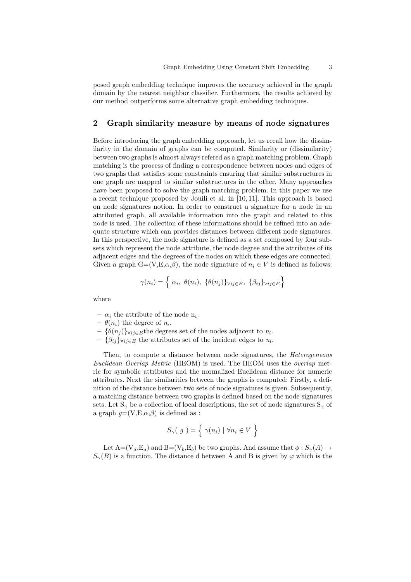posed graph embedding technique improves the accuracy achieved in the graph domain by the nearest neighbor classifier. Furthermore, the results achieved by our method outperforms some alternative graph embedding techniques.

#### 2 Graph similarity measure by means of node signatures

Before introducing the graph embedding approach, let us recall how the dissimilarity in the domain of graphs can be computed. Similarity or (dissimilarity) between two graphs is almost always refered as a graph matching problem. Graph matching is the process of finding a correspondence between nodes and edges of two graphs that satisfies some constraints ensuring that similar substructures in one graph are mapped to similar substructures in the other. Many approaches have been proposed to solve the graph matching problem. In this paper we use a recent technique proposed by Jouili et al. in [10, 11]. This approach is based on node signatures notion. In order to construct a signature for a node in an attributed graph, all available information into the graph and related to this node is used. The collection of these informations should be refined into an adequate structure which can provides distances between different node signatures. In this perspective, the node signature is defined as a set composed by four subsets which represent the node attribute, the node degree and the attributes of its adjacent edges and the degrees of the nodes on which these edges are connected. Given a graph  $G=(V,E,\alpha,\beta)$ , the node signature of  $n_i \in V$  is defined as follows:

$$
\gamma(n_i) = \left\{ \alpha_i, \ \theta(n_i), \ \{ \theta(n_j) \}_{\forall i j \in E}, \ \{ \beta_{ij} \}_{\forall i j \in E} \right\}
$$

where

- $\alpha_i$  the attribute of the node  $n_i$ .
- $\theta(n_i)$  the degree of  $n_i$ .
- $\{\theta(n_j)\}_{\forall ij \in E}$  the degrees set of the nodes adjacent to  $n_i$ .
- $\{\beta_{ij}\}_{\forall ij \in E}$  the attributes set of the incident edges to  $n_i$ .

Then, to compute a distance between node signatures, the *Heterogeneous* Euclidean Overlap Metric (HEOM) is used. The HEOM uses the overlap metric for symbolic attributes and the normalized Euclidean distance for numeric attributes. Next the similarities between the graphs is computed: Firstly, a definition of the distance between two sets of node signatures is given. Subsequently, a matching distance between two graphs is defined based on the node signatures sets. Let  $S_{\gamma}$  be a collection of local descriptions, the set of node signatures  $S_{\gamma}$  of a graph  $q=(V,E,\alpha,\beta)$  is defined as :

$$
S_{\gamma}(\ g\ )=\left\{\ \gamma(n_{i})\ \vert\ \forall n_{i}\in V\ \right\}
$$

Let  $A=(V_a,E_a)$  and  $B=(V_b,E_b)$  be two graphs. And assume that  $\phi: S_{\gamma}(A) \rightarrow$  $S_{\gamma}(B)$  is a function. The distance d between A and B is given by  $\varphi$  which is the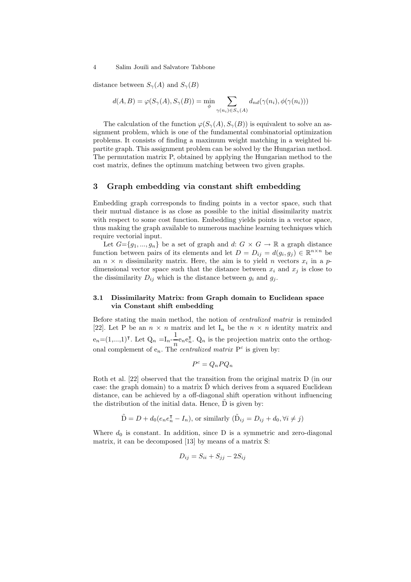distance between  $S_{\gamma}(A)$  and  $S_{\gamma}(B)$ 

$$
d(A, B) = \varphi(S_{\gamma}(A), S_{\gamma}(B)) = \min_{\phi} \sum_{\gamma(n_i) \in S_{\gamma}(A)} d_{nd}(\gamma(n_i), \phi(\gamma(n_i)))
$$

The calculation of the function  $\varphi(S_{\gamma}(A), S_{\gamma}(B))$  is equivalent to solve an assignment problem, which is one of the fundamental combinatorial optimization problems. It consists of finding a maximum weight matching in a weighted bipartite graph. This assignment problem can be solved by the Hungarian method. The permutation matrix P, obtained by applying the Hungarian method to the cost matrix, defines the optimum matching between two given graphs.

## 3 Graph embedding via constant shift embedding

Embedding graph corresponds to finding points in a vector space, such that their mutual distance is as close as possible to the initial dissimilarity matrix with respect to some cost function. Embedding yields points in a vector space, thus making the graph available to numerous machine learning techniques which require vectorial input.

Let  $G = \{g_1, ..., g_n\}$  be a set of graph and d:  $G \times G \rightarrow \mathbb{R}$  a graph distance function between pairs of its elements and let  $D = D_{ij} = d(g_i, g_j) \in \mathbb{R}^{n \times n}$  be an  $n \times n$  dissimilarity matrix. Here, the aim is to yield n vectors  $x_i$  in a pdimensional vector space such that the distance between  $x_i$  and  $x_j$  is close to the dissimilarity  $D_{ij}$  which is the distance between  $g_i$  and  $g_j$ .

### 3.1 Dissimilarity Matrix: from Graph domain to Euclidean space via Constant shift embedding

Before stating the main method, the notion of centralized matrix is reminded [22]. Let P be an  $n \times n$  matrix and let  $I_n$  be the  $n \times n$  identity matrix and  $e_n = (1,...,1)$ <sup>T</sup>. Let  $Q_n = I_n - \frac{1}{n}$  $\frac{1}{n}e_ne_n^{\mathsf{T}}$ .  $Q_n$  is the projection matrix onto the orthogonal complement of  $e_n$ . The *centralized matrix*  $P^c$  is given by:

$$
P^c=Q_nPQ_n
$$

Roth et al. [22] observed that the transition from the original matrix D (in our case: the graph domain) to a matrix D which derives from a squared Euclidean distance, can be achieved by a off-diagonal shift operation without influencing the distribution of the initial data. Hence,  $\tilde{D}$  is given by:

$$
\tilde{\mathbf{D}} = D + d_0(e_n e_n^{\mathsf{T}} - I_n), \text{ or similarly } (\tilde{\mathbf{D}}_{ij} = D_{ij} + d_0, \forall i \neq j)
$$

Where  $d_0$  is constant. In addition, since D is a symmetric and zero-diagonal matrix, it can be decomposed [13] by means of a matrix S:

$$
D_{ij} = S_{ii} + S_{jj} - 2S_{ij}
$$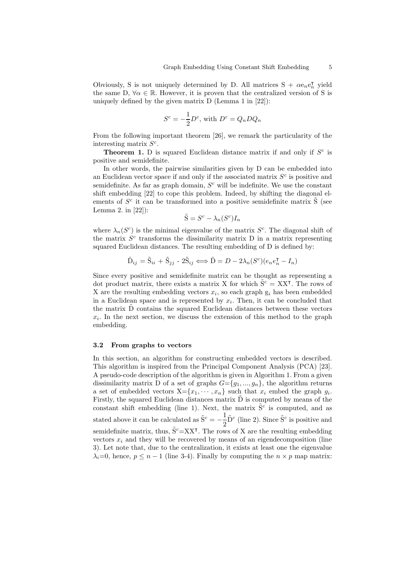Obviously, S is not uniquely determined by D. All matrices  $S + \alpha e_n e_n^{\mathsf{T}}$  yield the same D,  $\forall \alpha \in \mathbb{R}$ . However, it is proven that the centralized version of S is uniquely defined by the given matrix D (Lemma 1 in [22]):

$$
S^c = -\frac{1}{2}D^c
$$
, with  $D^c = Q_n D Q_n$ 

From the following important theorem [26], we remark the particularity of the interesting matrix  $S^c$ .

**Theorem 1.** D is squared Euclidean distance matrix if and only if  $S<sup>c</sup>$  is positive and semidefinite.

In other words, the pairwise similarities given by D can be embedded into an Euclidean vector space if and only if the associated matrix  $S<sup>c</sup>$  is positive and semidefinite. As far as graph domain,  $S<sup>c</sup>$  will be indefinite. We use the constant shift embedding [22] to cope this problem. Indeed, by shifting the diagonal elements of  $S<sup>c</sup>$  it can be transformed into a positive semidefinite matrix  $\tilde{S}$  (see Lemma 2. in [22]):

$$
\tilde{\mathbf{S}} = S^c - \lambda_n (S^c) I_n
$$

where  $\lambda_n(S^c)$  is the minimal eigenvalue of the matrix  $S^c$ . The diagonal shift of the matrix  $S<sup>c</sup>$  transforms the dissimilarity matrix D in a matrix representing squared Euclidean distances. The resulting embedding of D is defined by:

$$
\tilde{\mathbf{D}}_{ij} = \tilde{\mathbf{S}}_{ii} + \tilde{\mathbf{S}}_{jj} - 2\tilde{\mathbf{S}}_{ij} \Longleftrightarrow \tilde{\mathbf{D}} = D - 2\lambda_n (S^c)(e_n e_n^{\mathsf{T}} - I_n)
$$

Since every positive and semidefinite matrix can be thought as representing a dot product matrix, there exists a matrix X for which  $\tilde{S}^c = XX^{\dagger}$ . The rows of X are the resulting embedding vectors  $x_i$ , so each graph  $g_i$  has been embedded in a Euclidean space and is represented by  $x_i$ . Then, it can be concluded that the matrix  $\ddot{D}$  contains the squared Euclidean distances between these vectors  $x_i$ . In the next section, we discuss the extension of this method to the graph embedding.

#### 3.2 From graphs to vectors

In this section, an algorithm for constructing embedded vectors is described. This algorithm is inspired from the Principal Component Analysis (PCA) [23]. A pseudo-code description of the algorithm is given in Algorithm 1. From a given dissimilarity matrix D of a set of graphs  $G = \{g_1, ..., g_n\}$ , the algorithm returns a set of embedded vectors  $X = \{x_1, \dots, x_n\}$  such that  $x_i$  embed the graph  $g_i$ . Firstly, the squared Euclidean distances matrix  $\tilde{D}$  is computed by means of the constant shift embedding (line 1). Next, the matrix  $\tilde{S}^c$  is computed, and as stated above it can be calculated as  $\tilde{S}^c = -\frac{1}{2}$  $\frac{1}{2}\tilde{D}^c$  (line 2). Since  $\tilde{S}^c$  is positive and semidefinite matrix, thus,  $\tilde{S}^c = XX^{\intercal}$ . The rows of X are the resulting embedding vectors  $x_i$  and they will be recovered by means of an eigendecomposition (line 3). Let note that, due to the centralization, it exists at least one the eigenvalue  $\lambda_i=0$ , hence,  $p \leq n-1$  (line 3-4). Finally by computing the  $n \times p$  map matrix: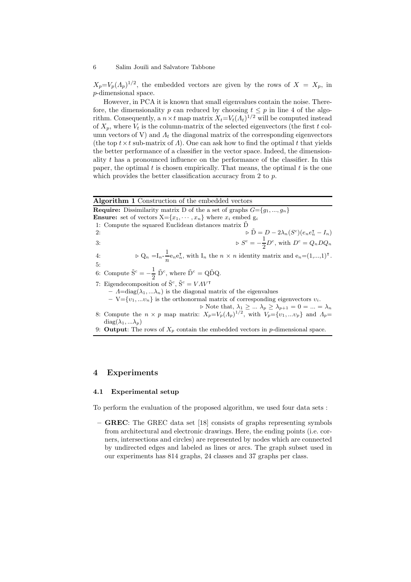$X_p = V_p(\Lambda_p)^{1/2}$ , the embedded vectors are given by the rows of  $X = X_p$ , in p-dimensional space.

However, in PCA it is known that small eigenvalues contain the noise. Therefore, the dimensionality p can reduced by choosing  $t \leq p$  in line 4 of the algorithm. Consequently, a  $n \times t$  map matrix  $X_t = V_t(\Lambda_t)^{1/2}$  will be computed instead of  $X_p$ , where  $V_t$  is the column-matrix of the selected eigenvectors (the first t column vectors of V) and  $\Lambda_t$  the diagonal matrix of the corresponding eigenvectors (the top  $t \times t$  sub-matrix of  $\Lambda$ ). One can ask how to find the optimal t that yields the better performance of a classifier in the vector space. Indeed, the dimensionality  $t$  has a pronounced influence on the performance of the classifier. In this paper, the optimal  $t$  is chosen empirically. That means, the optimal  $t$  is the one which provides the better classification accuracy from 2 to  $p$ .

#### Algorithm 1 Construction of the embedded vectors **Require:** Dissimilarity matrix D of the a set of graphs  $G = \{g_1, ..., g_n\}$ **Ensure:** set of vectors  $X = \{x_1, \dots, x_n\}$  where  $x_i$  embed  $g_i$ 1: Compute the squared Euclidean distances matrix  $\tilde{\mathbf{D}}$ 2:  $\triangleright \tilde{\mathbf{D}} = D - 2\lambda_n (S^c)(e_n e_n^{\mathsf{T}} - I_n)$ 3:  $S^c = -\frac{1}{2}$  $\frac{1}{2}D^c$ , with  $D^c = Q_n DQ_n$ 4:  $\triangleright Q_n = I_n - \frac{1}{n}$  $\frac{1}{n}$ e<sub>n</sub>e<sub>n</sub><sup>T</sup>, with I<sub>n</sub> the  $n \times n$  identity matrix and e<sub>n</sub>= $(1,...,1)$ <sup>T</sup>. 5: 6: Compute  $\tilde{S}^c = -\frac{1}{2}$  $\frac{1}{2} \tilde{D}^c$ , where  $\tilde{D}^c = Q \tilde{D} Q$ . 7: Eigendecomposition of  $\tilde{S}^c$ ,  $\tilde{S}^c = VAV^{\mathsf{T}}$  $-\Lambda = \text{diag}(\lambda_1, \ldots, \lambda_n)$  is the diagonal matrix of the eigenvalues  $-V = \{v_1, ... v_n\}$  is the orthonormal matrix of corresponding eigenvectors  $v_i$ .  $\triangleright$  Note that,  $\lambda_1 \geq ... \lambda_p \geq \lambda_{p+1} = 0 = ... = \lambda_n$ 8: Compute the  $n \times p$  map matrix:  $X_p = V_p(\Lambda_p)^{1/2}$ , with  $V_p = \{v_1, ..., v_p\}$  and  $\Lambda_p =$  $diag(\lambda_1, \ldots \lambda_p)$ 9: **Output**: The rows of  $X_p$  contain the embedded vectors in p-dimensional space.

# 4 Experiments

#### 4.1 Experimental setup

To perform the evaluation of the proposed algorithm, we used four data sets :

– GREC: The GREC data set [18] consists of graphs representing symbols from architectural and electronic drawings. Here, the ending points (i.e. corners, intersections and circles) are represented by nodes which are connected by undirected edges and labeled as lines or arcs. The graph subset used in our experiments has 814 graphs, 24 classes and 37 graphs per class.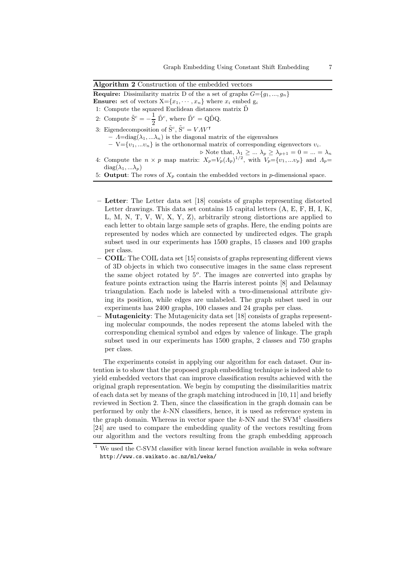Algorithm 2 Construction of the embedded vectors

**Require:** Dissimilarity matrix D of the a set of graphs  $G = \{g_1, ..., g_n\}$ 

**Ensure:** set of vectors  $X = \{x_1, \dots, x_n\}$  where  $x_i$  embed  $g_i$ 1: Compute the squared Euclidean distances matrix  $\tilde{\mathbf{D}}$ 

- 2: Compute  $\tilde{S}^c = -\frac{1}{2}$  $\frac{1}{2} \tilde{D}^c$ , where  $\tilde{D}^c = Q \tilde{D} Q$ .
- 3: Eigendecomposition of  $\tilde{S}^c$ ,  $\tilde{S}^c = VAV^{\mathsf{T}}$ 
	- $-\Lambda = \text{diag}(\lambda_1, \ldots, \lambda_n)$  is the diagonal matrix of the eigenvalues
	- $-V = \{v_1, ... v_n\}$  is the orthonormal matrix of corresponding eigenvectors  $v_i$ .
- $\triangleright$  Note that,  $\lambda_1 \geq ... \lambda_p \geq \lambda_{p+1} = 0 = ... = \lambda_n$ 4: Compute the  $n \times p$  map matrix:  $X_p = V_p(\Lambda_p)^{1/2}$ , with  $V_p = \{v_1, ..., v_p\}$  and  $\Lambda_p =$  $diag(\lambda_1, \ldots \lambda_p)$

- Letter: The Letter data set [18] consists of graphs representing distorted Letter drawings. This data set contains 15 capital letters (A, E, F, H, I, K, L, M, N, T, V, W, X, Y, Z), arbitrarily strong distortions are applied to each letter to obtain large sample sets of graphs. Here, the ending points are represented by nodes which are connected by undirected edges. The graph subset used in our experiments has 1500 graphs, 15 classes and 100 graphs per class.
- COIL: The COIL data set [15] consists of graphs representing different views of 3D objects in which two consecutive images in the same class represent the same object rotated by  $5^o$ . The images are converted into graphs by feature points extraction using the Harris interest points [8] and Delaunay triangulation. Each node is labeled with a two-dimensional attribute giving its position, while edges are unlabeled. The graph subset used in our experiments has 2400 graphs, 100 classes and 24 graphs per class.
- Mutagenicity: The Mutagenicity data set [18] consists of graphs representing molecular compounds, the nodes represent the atoms labeled with the corresponding chemical symbol and edges by valence of linkage. The graph subset used in our experiments has 1500 graphs, 2 classes and 750 graphs per class.

The experiments consist in applying our algorithm for each dataset. Our intention is to show that the proposed graph embedding technique is indeed able to yield embedded vectors that can improve classification results achieved with the original graph representation. We begin by computing the dissimilarities matrix of each data set by means of the graph matching introduced in [10, 11] and briefly reviewed in Section 2. Then, since the classification in the graph domain can be performed by only the  $k$ -NN classifiers, hence, it is used as reference system in the graph domain. Whereas in vector space the  $k$ -NN and the SVM<sup>1</sup> classifiers [24] are used to compare the embedding quality of the vectors resulting from our algorithm and the vectors resulting from the graph embedding approach

<sup>5:</sup> **Output**: The rows of  $X_p$  contain the embedded vectors in p-dimensional space.

<sup>&</sup>lt;sup>1</sup> We used the C-SVM classifier with linear kernel function available in weka software http://www.cs.waikato.ac.nz/ml/weka/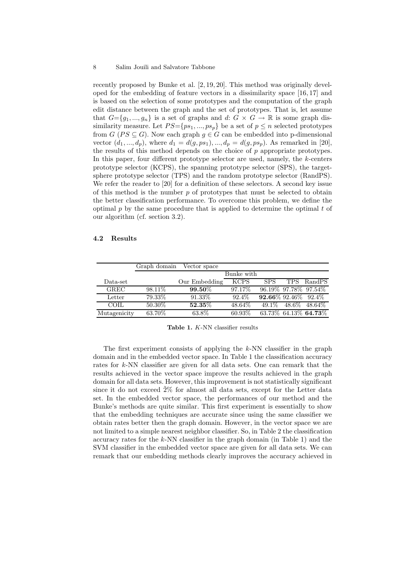recently proposed by Bunke et al. [2, 19, 20]. This method was originally developed for the embedding of feature vectors in a dissimilarity space [16, 17] and is based on the selection of some prototypes and the computation of the graph edit distance between the graph and the set of prototypes. That is, let assume that  $G=\{g_1,...,g_n\}$  is a set of graphs and d:  $G \times G \to \mathbb{R}$  is some graph dissimilarity measure. Let  $PS = \{ps_1, ..., ps_p\}$  be a set of  $p \leq n$  selected prototypes from  $G$  (PS  $\subseteq$  G). Now each graph  $g \in G$  can be embedded into p-dimensional vector  $(d_1, ..., d_p)$ , where  $d_1 = d(g, ps_1), ..., d_p = d(g, ps_p)$ . As remarked in [20], the results of this method depends on the choice of p appropriate prototypes. In this paper, four different prototype selector are used, namely, the k-centers prototype selector (KCPS), the spanning prototype selector (SPS), the targetsphere prototype selector (TPS) and the random prototype selector (RandPS). We refer the reader to [20] for a definition of these selectors. A second key issue of this method is the number  $p$  of prototypes that must be selected to obtain the better classification performance. To overcome this problem, we define the optimal  $p$  by the same procedure that is applied to determine the optimal  $t$  of our algorithm (cf. section 3.2).

#### 4.2 Results

|              | Graph domain | Vector space  |             |                     |            |                      |
|--------------|--------------|---------------|-------------|---------------------|------------|----------------------|
|              |              |               | Bunke with  |                     |            |                      |
| Data-set     |              | Our Embedding | <b>KCPS</b> | <b>SPS</b>          | <b>TPS</b> | RandPS               |
| <b>GREC</b>  | 98.11\%      | $99.50\%$     | 97.17\%     |                     |            | 96.19% 97.78% 97.54% |
| Letter       | 79.33\%      | 91.33\%       | 92.4%       | 92.66% 92.46% 92.4% |            |                      |
| COIL.        | 50.30\%      | $52.35\%$     | 48.64%      | 49.1\%              | 48.6%      | 48.64%               |
| Mutagenicity | 63.70%       | 63.8%         | 60.93%      |                     |            | 63.73% 64.13% 64.73% |

Table 1. K-NN classifier results

The first experiment consists of applying the  $k$ -NN classifier in the graph domain and in the embedded vector space. In Table 1 the classification accuracy rates for k-NN classifier are given for all data sets. One can remark that the results achieved in the vector space improve the results achieved in the graph domain for all data sets. However, this improvement is not statistically significant since it do not exceed  $\tilde{2}\%$  for almost all data sets, except for the Letter data set. In the embedded vector space, the performances of our method and the Bunke's methods are quite similar. This first experiment is essentially to show that the embedding techniques are accurate since using the same classifier we obtain rates better then the graph domain. However, in the vector space we are not limited to a simple nearest neighbor classifier. So, in Table 2 the classification accuracy rates for the k-NN classifier in the graph domain (in Table 1) and the SVM classifier in the embedded vector space are given for all data sets. We can remark that our embedding methods clearly improves the accuracy achieved in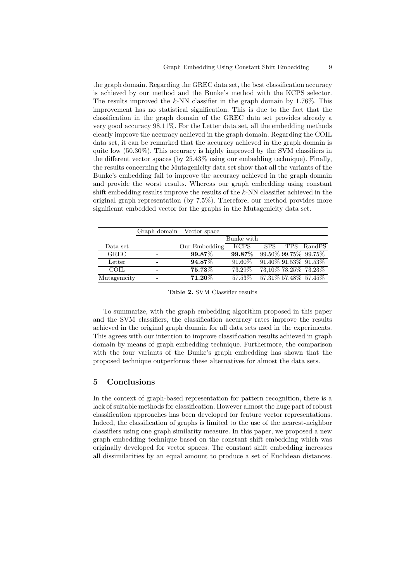the graph domain. Regarding the GREC data set, the best classification accuracy is achieved by our method and the Bunke's method with the KCPS selector. The results improved the  $k$ -NN classifier in the graph domain by 1.76%. This improvement has no statistical signification. This is due to the fact that the classification in the graph domain of the GREC data set provides already a very good accuracy 98.11%. For the Letter data set, all the embedding methods clearly improve the accuracy achieved in the graph domain. Regarding the COIL data set, it can be remarked that the accuracy achieved in the graph domain is quite low  $(50.30\%)$ . This accuracy is highly improved by the SVM classifiers in the different vector spaces (by 25.43% using our embedding technique). Finally, the results concerning the Mutagenicity data set show that all the variants of the Bunke's embedding fail to improve the accuracy achieved in the graph domain and provide the worst results. Whereas our graph embedding using constant shift embedding results improve the results of the k-NN classifier achieved in the original graph representation (by 7.5%). Therefore, our method provides more significant embedded vector for the graphs in the Mutagenicity data set.

|              | Graph domain             | Vector space  |             |            |                         |
|--------------|--------------------------|---------------|-------------|------------|-------------------------|
|              |                          |               | Bunke with  |            |                         |
| Data-set     |                          | Our Embedding | <b>KCPS</b> | <b>SPS</b> | TPS RandPS              |
| <b>GREC</b>  |                          | $99.87\%$     | 99.87%      |            | 99.50% 99.75% 99.75%    |
| Letter       |                          | 94.87%        | 91.60%      |            | 91.40\% 91.53\% 91.53\% |
| COIL.        |                          | 75.73%        | 73.29%      |            | 73,10% 73.25% 73.23%    |
| Mutagenicity | $\overline{\phantom{0}}$ | $71.20\%$     | 57.53%      |            | 57.31% 57.48% 57.45%    |

Table 2. SVM Classifier results

To summarize, with the graph embedding algorithm proposed in this paper and the SVM classifiers, the classification accuracy rates improve the results achieved in the original graph domain for all data sets used in the experiments. This agrees with our intention to improve classification results achieved in graph domain by means of graph embedding technique. Furthermore, the comparison with the four variants of the Bunke's graph embedding has shown that the proposed technique outperforms these alternatives for almost the data sets.

### 5 Conclusions

In the context of graph-based representation for pattern recognition, there is a lack of suitable methods for classification. However almost the huge part of robust classification approaches has been developed for feature vector representations. Indeed, the classification of graphs is limited to the use of the nearest-neighbor classifiers using one graph similarity measure. In this paper, we proposed a new graph embedding technique based on the constant shift embedding which was originally developed for vector spaces. The constant shift embedding increases all dissimilarities by an equal amount to produce a set of Euclidean distances.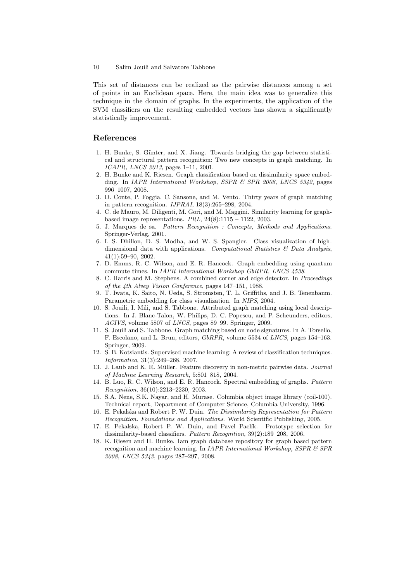This set of distances can be realized as the pairwise distances among a set of points in an Euclidean space. Here, the main idea was to generalize this technique in the domain of graphs. In the experiments, the application of the SVM classifiers on the resulting embedded vectors has shown a significantly statistically improvement.

## References

- 1. H. Bunke, S. G¨unter, and X. Jiang. Towards bridging the gap between statistical and structural pattern recognition: Two new concepts in graph matching. In *ICAPR, LNCS 2013*, pages 1–11, 2001.
- 2. H. Bunke and K. Riesen. Graph classification based on dissimilarity space embedding. In *IAPR International Workshop, SSPR & SPR 2008, LNCS 5342*, pages 996–1007, 2008.
- 3. D. Conte, P. Foggia, C. Sansone, and M. Vento. Thirty years of graph matching in pattern recognition. *IJPRAI*, 18(3):265–298, 2004.
- 4. C. de Mauro, M. Diligenti, M. Gori, and M. Maggini. Similarity learning for graphbased image representations. *PRL*, 24(8):1115 – 1122, 2003.
- 5. J. Marques de sa. *Pattern Recognition : Concepts, Methods and Applications*. Springer-Verlag, 2001.
- 6. I. S. Dhillon, D. S. Modha, and W. S. Spangler. Class visualization of highdimensional data with applications. *Computational Statistics & Data Analysis*,  $41(1):59-90$  2002
- 7. D. Emms, R. C. Wilson, and E. R. Hancock. Graph embedding using quantum commute times. In *IAPR International Workshop GbRPR, LNCS 4538*.
- 8. C. Harris and M. Stephens. A combined corner and edge detector. In *Proceedings of the 4th Alvey Vision Conference*, pages 147–151, 1988.
- 9. T. Iwata, K. Saito, N. Ueda, S. Stromsten, T. L. Griffiths, and J. B. Tenenbaum. Parametric embedding for class visualization. In *NIPS*, 2004.
- 10. S. Jouili, I. Mili, and S. Tabbone. Attributed graph matching using local descriptions. In J. Blanc-Talon, W. Philips, D. C. Popescu, and P. Scheunders, editors, *ACIVS*, volume 5807 of *LNCS*, pages 89–99. Springer, 2009.
- 11. S. Jouili and S. Tabbone. Graph matching based on node signatures. In A. Torsello, F. Escolano, and L. Brun, editors, *GbRPR*, volume 5534 of *LNCS*, pages 154–163. Springer, 2009.
- 12. S. B. Kotsiantis. Supervised machine learning: A review of classification techniques. *Informatica*, 31(3):249–268, 2007.
- 13. J. Laub and K. R. M¨uller. Feature discovery in non-metric pairwise data. *Journal of Machine Learning Research*, 5:801–818, 2004.
- 14. B. Luo, R. C. Wilson, and E. R. Hancock. Spectral embedding of graphs. *Pattern Recognition*, 36(10):2213–2230, 2003.
- 15. S.A. Nene, S.K. Nayar, and H. Murase. Columbia object image library (coil-100). Technical report, Department of Computer Science, Columbia University, 1996.
- 16. E. Pekalska and Robert P. W. Duin. *The Dissimilarity Representation for Pattern Recognition. Foundations and Applications*. World Scientific Publishing, 2005.
- 17. E. Pekalska, Robert P. W. Duin, and Pavel Paclík. Prototype selection for dissimilarity-based classifiers. *Pattern Recognition*, 39(2):189–208, 2006.
- 18. K. Riesen and H. Bunke. Iam graph database repository for graph based pattern recognition and machine learning. In *IAPR International Workshop, SSPR & SPR 2008, LNCS 5342*, pages 287–297, 2008.